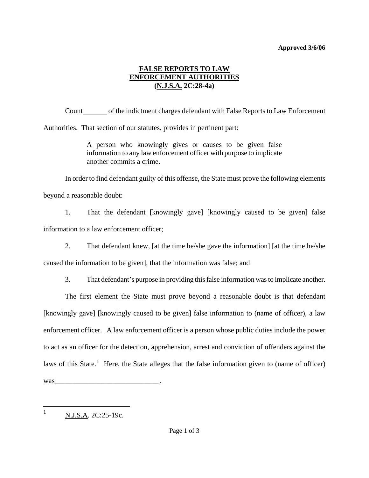## **Approved 3/6/06**

## **FALSE REPORTS TO LAW ENFORCEMENT AUTHORITIES (N.J.S.A. 2C:28-4a)**

Count of the indictment charges defendant with False Reports to Law Enforcement

Authorities. That section of our statutes, provides in pertinent part:

A person who knowingly gives or causes to be given false information to any law enforcement officer with purpose to implicate another commits a crime.

In order to find defendant guilty of this offense, the State must prove the following elements

beyond a reasonable doubt:

1. That the defendant [knowingly gave] [knowingly caused to be given] false information to a law enforcement officer;

2. That defendant knew, [at the time he/she gave the information] [at the time he/she

caused the information to be given], that the information was false; and

3. That defendant's purpose in providing this false information was to implicate another.

The first element the State must prove beyond a reasonable doubt is that defendant [knowingly gave] [knowingly caused to be given] false information to (name of officer), a law enforcement officer. A law enforcement officer is a person whose public duties include the power to act as an officer for the detection, apprehension, arrest and conviction of offenders against the laws of this State.<sup>[1](#page-0-0)</sup> Here, the State alleges that the false information given to (name of officer) was

<span id="page-0-0"></span>1 1

N.J.S.A. 2C:25-19c.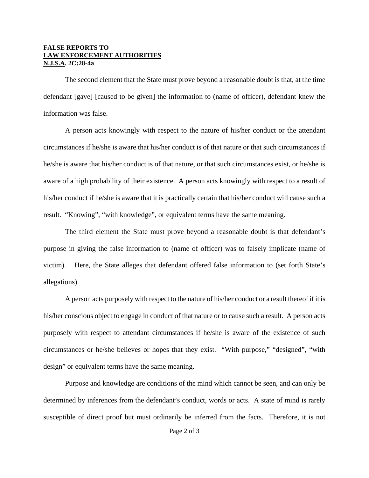## **FALSE REPORTS TO LAW ENFORCEMENT AUTHORITIES N.J.S.A. 2C:28-4a**

The second element that the State must prove beyond a reasonable doubt is that, at the time defendant [gave] [caused to be given] the information to (name of officer), defendant knew the information was false.

A person acts knowingly with respect to the nature of his/her conduct or the attendant circumstances if he/she is aware that his/her conduct is of that nature or that such circumstances if he/she is aware that his/her conduct is of that nature, or that such circumstances exist, or he/she is aware of a high probability of their existence. A person acts knowingly with respect to a result of his/her conduct if he/she is aware that it is practically certain that his/her conduct will cause such a result. "Knowing", "with knowledge", or equivalent terms have the same meaning.

The third element the State must prove beyond a reasonable doubt is that defendant's purpose in giving the false information to (name of officer) was to falsely implicate (name of victim). Here, the State alleges that defendant offered false information to (set forth State's allegations).

A person acts purposely with respect to the nature of his/her conduct or a result thereof if it is his/her conscious object to engage in conduct of that nature or to cause such a result. A person acts purposely with respect to attendant circumstances if he/she is aware of the existence of such circumstances or he/she believes or hopes that they exist. "With purpose," "designed", "with design" or equivalent terms have the same meaning.

Purpose and knowledge are conditions of the mind which cannot be seen, and can only be determined by inferences from the defendant's conduct, words or acts. A state of mind is rarely susceptible of direct proof but must ordinarily be inferred from the facts. Therefore, it is not